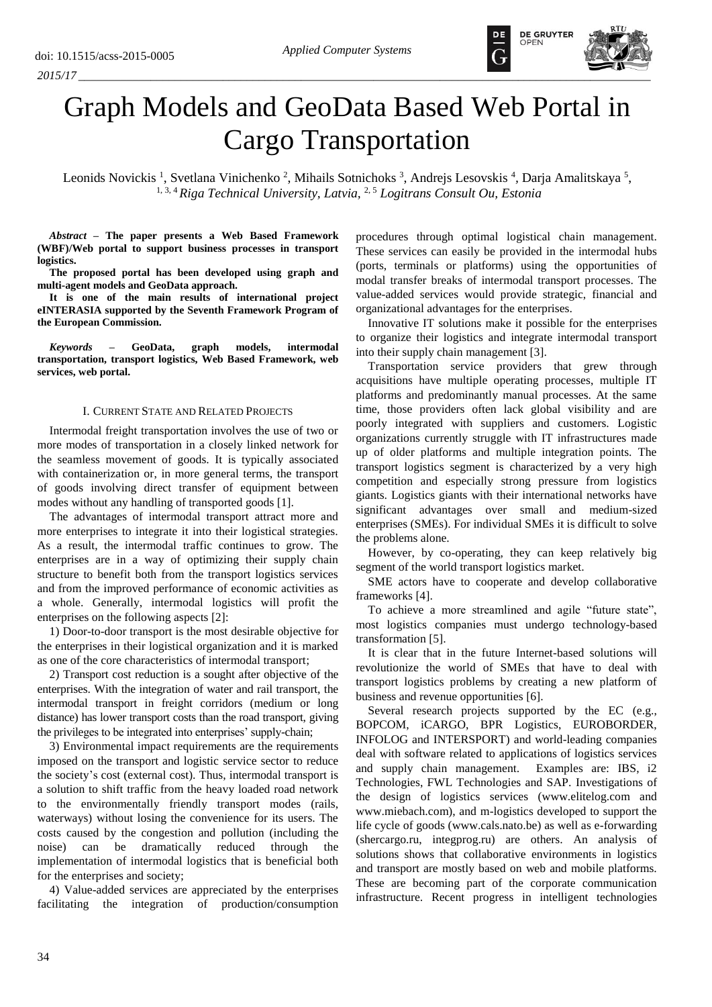



Leonids Novickis<sup>1</sup>, Svetlana Vinichenko<sup>2</sup>, Mihails Sotnichoks<sup>3</sup>, Andrejs Lesovskis<sup>4</sup>, Darja Amalitskaya<sup>5</sup>, 1, 3, <sup>4</sup>*Riga Technical University, Latvia,* 2, 5 *Logitrans Consult Ou, Estonia*

*Abstract –* **The paper presents a Web Based Framework (WBF)/Web portal to support business processes in transport logistics.**

**The proposed portal has been developed using graph and multi-agent models and GeoData approach.**

**It is one of the main results of international project eINTERASIA supported by the Seventh Framework Program of the European Commission.**

*Keywords* **– GeoData, graph models, intermodal transportation, transport logistics, Web Based Framework, web services, web portal.**

# I. CURRENT STATE AND RELATED PROJECTS

Intermodal freight transportation involves the use of two or more modes of transportation in a closely linked network for the seamless movement of goods. It is typically associated with containerization or, in more general terms, the transport of goods involving direct transfer of equipment between modes without any handling of transported goods [1].

The advantages of intermodal transport attract more and more enterprises to integrate it into their logistical strategies. As a result, the intermodal traffic continues to grow. The enterprises are in a way of optimizing their supply chain structure to benefit both from the transport logistics services and from the improved performance of economic activities as a whole. Generally, intermodal logistics will profit the enterprises on the following aspects [2]:

1) Door-to-door transport is the most desirable objective for the enterprises in their logistical organization and it is marked as one of the core characteristics of intermodal transport;

2) Transport cost reduction is a sought after objective of the enterprises. With the integration of water and rail transport, the intermodal transport in freight corridors (medium or long distance) has lower transport costs than the road transport, giving the privileges to be integrated into enterprises' supply-chain;

3) Environmental impact requirements are the requirements imposed on the transport and logistic service sector to reduce the society's cost (external cost). Thus, intermodal transport is a solution to shift traffic from the heavy loaded road network to the environmentally friendly transport modes (rails, waterways) without losing the convenience for its users. The costs caused by the congestion and pollution (including the noise) can be dramatically reduced through the implementation of intermodal logistics that is beneficial both for the enterprises and society;

4) Value-added services are appreciated by the enterprises facilitating the integration of production/consumption procedures through optimal logistical chain management. These services can easily be provided in the intermodal hubs (ports, terminals or platforms) using the opportunities of modal transfer breaks of intermodal transport processes. The value-added services would provide strategic, financial and organizational advantages for the enterprises.

Innovative IT solutions make it possible for the enterprises to organize their logistics and integrate intermodal transport into their supply chain management [3].

Transportation service providers that grew through acquisitions have multiple operating processes, multiple IT platforms and predominantly manual processes. At the same time, those providers often lack global visibility and are poorly integrated with suppliers and customers. Logistic organizations currently struggle with IT infrastructures made up of older platforms and multiple integration points. The transport logistics segment is characterized by a very high competition and especially strong pressure from logistics giants. Logistics giants with their international networks have significant advantages over small and medium-sized enterprises (SMEs). For individual SMEs it is difficult to solve the problems alone.

However, by co-operating, they can keep relatively big segment of the world transport logistics market.

SME actors have to cooperate and develop collaborative frameworks [4].

To achieve a more streamlined and agile "future state", most logistics companies must undergo technology-based transformation [5].

It is clear that in the future Internet-based solutions will revolutionize the world of SMEs that have to deal with transport logistics problems by creating a new platform of business and revenue opportunities [6].

Several research projects supported by the EC (e.g., BOPCOM, iCARGO, BPR Logistics, EUROBORDER, INFOLOG and INTERSPORT) and world-leading companies deal with software related to applications of logistics services and supply chain management. Examples are: IBS, i2 Technologies, FWL Technologies and SAP. Investigations of the design of logistics services (www.elitelog.com and www.miebach.com), and m-logistics developed to support the life cycle of goods (www.cals.nato.be) as well as e-forwarding (shercargo.ru, integprog.ru) are others. An analysis of solutions shows that collaborative environments in logistics and transport are mostly based on web and mobile platforms. These are becoming part of the corporate communication infrastructure. Recent progress in intelligent technologies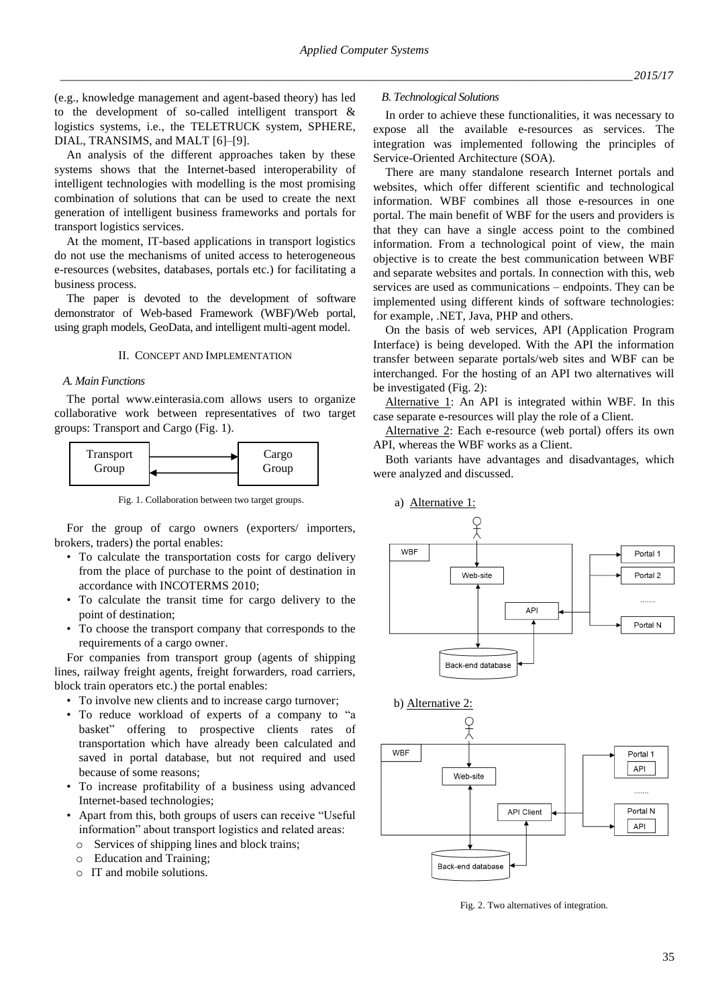(e.g., knowledge management and agent-based theory) has led to the development of so-called intelligent transport & logistics systems, i.e., the TELETRUCK system, SPHERE, DIAL, TRANSIMS, and MALT [6]–[9].

An analysis of the different approaches taken by these systems shows that the Internet-based interoperability of intelligent technologies with modelling is the most promising combination of solutions that can be used to create the next generation of intelligent business frameworks and portals for transport logistics services.

At the moment, IT-based applications in transport logistics do not use the mechanisms of united access to heterogeneous e-resources (websites, databases, portals etc.) for facilitating a business process.

The paper is devoted to the development of software demonstrator of Web-based Framework (WBF)/Web portal, using graph models, GeoData, and intelligent multi-agent model.

## II. CONCEPT AND IMPLEMENTATION

# *A. Main Functions*

The portal www.einterasia.com allows users to organize collaborative work between representatives of two target groups: Transport and Cargo (Fig. 1).



Fig. 1. Collaboration between two target groups.

For the group of cargo owners (exporters/ importers, brokers, traders) the portal enables:

- To calculate the transportation costs for cargo delivery from the place of purchase to the point of destination in accordance with INCOTERMS 2010;
- To calculate the transit time for cargo delivery to the point of destination;
- To choose the transport company that corresponds to the requirements of a cargo owner.

For companies from transport group (agents of shipping lines, railway freight agents, freight forwarders, road carriers, block train operators etc.) the portal enables:

- To involve new clients and to increase cargo turnover;
- To reduce workload of experts of a company to "a basket" offering to prospective clients rates of transportation which have already been calculated and saved in portal database, but not required and used because of some reasons;
- To increase profitability of a business using advanced Internet-based technologies;
- Apart from this, both groups of users can receive "Useful" information" about transport logistics and related areas:
	- o Services of shipping lines and block trains;
	- o Education and Training;
	- o IT and mobile solutions.

## *B. Technological Solutions*

In order to achieve these functionalities, it was necessary to expose all the available e-resources as services. The integration was implemented following the principles of Service-Oriented Architecture (SOA).

There are many standalone research Internet portals and websites, which offer different scientific and technological information. WBF combines all those e-resources in one portal. The main benefit of WBF for the users and providers is that they can have a single access point to the combined information. From a technological point of view, the main objective is to create the best communication between WBF and separate websites and portals. In connection with this, web services are used as communications – endpoints. They can be implemented using different kinds of software technologies: for example, .NET, Java, PHP and others.

On the basis of web services, API (Application Program Interface) is being developed. With the API the information transfer between separate portals/web sites and WBF can be interchanged. For the hosting of an API two alternatives will be investigated (Fig. 2):

Alternative 1: An API is integrated within WBF. In this case separate e-resources will play the role of a Client.

Alternative 2: Each e-resource (web portal) offers its own API, whereas the WBF works as a Client.

Both variants have advantages and disadvantages, which were analyzed and discussed.



Fig. 2. Two alternatives of integration.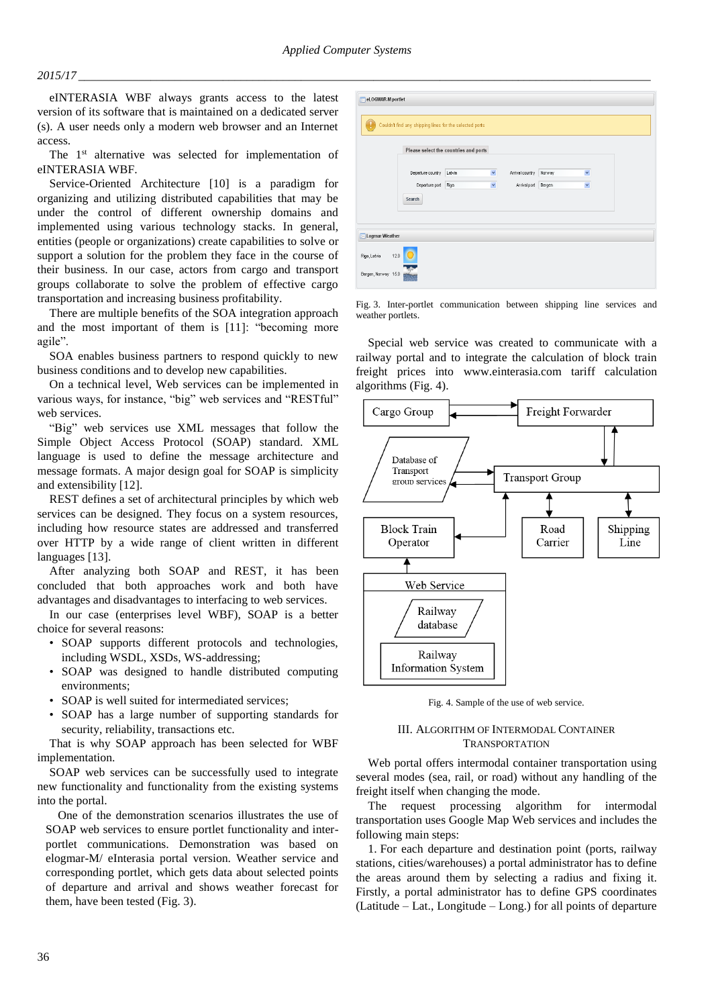# *2015/17 \_\_\_\_\_\_\_\_\_\_\_\_\_\_\_\_\_\_\_\_\_\_\_\_\_\_\_\_\_\_\_\_\_\_\_\_\_\_\_\_\_\_\_\_\_\_\_\_\_\_\_\_\_\_\_\_\_\_\_\_\_\_\_\_\_\_\_\_\_\_\_\_\_\_\_\_\_\_\_\_\_\_\_\_\_\_\_\_\_\_\_\_\_\_\_*

eINTERASIA WBF always grants access to the latest version of its software that is maintained on a dedicated server (s). A user needs only a modern web browser and an Internet access.

The 1<sup>st</sup> alternative was selected for implementation of eINTERASIA WBF.

Service-Oriented Architecture [10] is a paradigm for organizing and utilizing distributed capabilities that may be under the control of different ownership domains and implemented using various technology stacks. In general, entities (people or organizations) create capabilities to solve or support a solution for the problem they face in the course of their business. In our case, actors from cargo and transport groups collaborate to solve the problem of effective cargo transportation and increasing business profitability.

There are multiple benefits of the SOA integration approach and the most important of them is [11]: "becoming more agile".

SOA enables business partners to respond quickly to new business conditions and to develop new capabilities.

On a technical level, Web services can be implemented in various ways, for instance, "big" web services and "RESTful" web services.

"Big" web services use XML messages that follow the Simple Object Access Protocol (SOAP) standard. XML language is used to define the message architecture and message formats. A major design goal for SOAP is simplicity and extensibility [12].

REST defines a set of architectural principles by which web services can be designed. They focus on a system resources, including how resource states are addressed and transferred over HTTP by a wide range of client written in different languages [13].

After analyzing both SOAP and REST, it has been concluded that both approaches work and both have advantages and disadvantages to interfacing to web services.

In our case (enterprises level WBF), SOAP is a better choice for several reasons:

- SOAP supports different protocols and technologies, including WSDL, XSDs, WS-addressing;
- SOAP was designed to handle distributed computing environments;
- SOAP is well suited for intermediated services;
- SOAP has a large number of supporting standards for security, reliability, transactions etc.

That is why SOAP approach has been selected for WBF implementation.

SOAP web services can be successfully used to integrate new functionality and functionality from the existing systems into the portal.

One of the demonstration scenarios illustrates the use of SOAP web services to ensure portlet functionality and interportlet communications. Demonstration was based on elogmar-M/ eInterasia portal version. Weather service and corresponding portlet, which gets data about selected points of departure and arrival and shows weather forecast for them, have been tested (Fig. 3).

| eLOGMAR-M portlet<br>$\overline{a}$ |                                                         |        |              |                     |        |              |  |
|-------------------------------------|---------------------------------------------------------|--------|--------------|---------------------|--------|--------------|--|
|                                     | Couldn't find any shipping lines for the selected ports |        |              |                     |        |              |  |
|                                     | Please select the countries and ports                   |        |              |                     |        |              |  |
|                                     | Departure country                                       | Latvia | $\checkmark$ | Arrival country     | Norway | $\checkmark$ |  |
|                                     | Departure port Riga<br>Search                           |        | $\checkmark$ | Arrival port Bergen |        | Y            |  |
|                                     |                                                         |        |              |                     |        |              |  |
| <b>Exclude Logmar Weather</b>       |                                                         |        |              |                     |        |              |  |
| Riga, Latvia                        | $12.0 -$                                                |        |              |                     |        |              |  |
| Bergen, Norway 15.0                 |                                                         |        |              |                     |        |              |  |

Fig. 3. Inter-portlet communication between shipping line services and weather portlets.

Special web service was created to communicate with a railway portal and to integrate the calculation of block train freight prices into www.einterasia.com tariff calculation algorithms (Fig. 4).



Fig. 4. Sample of the use of web service.

# III. ALGORITHM OF INTERMODAL CONTAINER **TRANSPORTATION**

Web portal offers intermodal container transportation using several modes (sea, rail, or road) without any handling of the freight itself when changing the mode.

The request processing algorithm for intermodal transportation uses Google Map Web services and includes the following main steps:

1. For each departure and destination point (ports, railway stations, cities/warehouses) a portal administrator has to define the areas around them by selecting a radius and fixing it. Firstly, a portal administrator has to define GPS coordinates (Latitude – Lat., Longitude – Long.) for all points of departure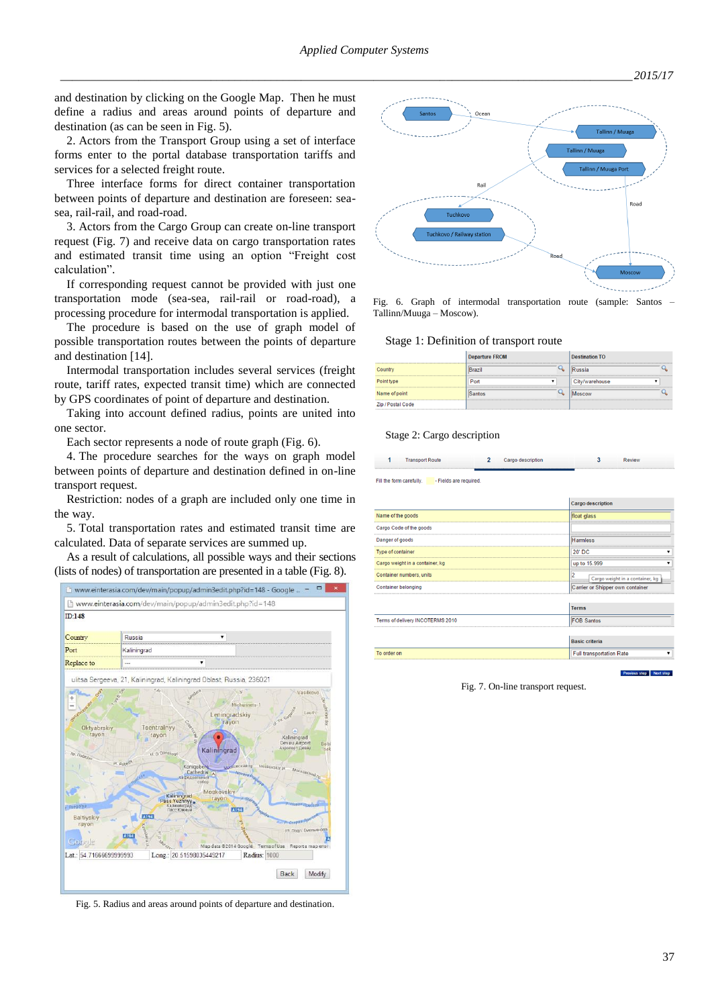and destination by clicking on the Google Map. Then he must define a radius and areas around points of departure and destination (as can be seen in Fig. 5).

2. Actors from the Transport Group using a set of interface forms enter to the portal database transportation tariffs and services for a selected freight route.

Three interface forms for direct container transportation between points of departure and destination are foreseen: seasea, rail-rail, and road-road.

3. Actors from the Cargo Group can create on-line transport request (Fig. 7) and receive data on cargo transportation rates and estimated transit time using an option "Freight cost calculation".

If corresponding request cannot be provided with just one transportation mode (sea-sea, rail-rail or road-road), a processing procedure for intermodal transportation is applied.

The procedure is based on the use of graph model of possible transportation routes between the points of departure and destination [14].

Intermodal transportation includes several services (freight route, tariff rates, expected transit time) which are connected by GPS coordinates of point of departure and destination.

Taking into account defined radius, points are united into one sector.

Each sector represents a node of route graph (Fig. 6).

4. The procedure searches for the ways on graph model between points of departure and destination defined in on-line transport request.

Restriction: nodes of a graph are included only one time in the way.

5. Total transportation rates and estimated transit time are calculated. Data of separate services are summed up.

As a result of calculations, all possible ways and their sections (lists of nodes) of transportation are presented in a table (Fig. 8).



Fig. 5. Radius and areas around points of departure and destination.



Fig. 6. Graph of intermodal transportation route (sample: Santos Tallinn/Muuga – Moscow).

#### Stage 1: Definition of transport route

|                   | <b>Departure FROM</b> | <b>Destination TO</b> |  |
|-------------------|-----------------------|-----------------------|--|
| Country           | <b>Brazil</b>         | Russia                |  |
| Point type        | Port                  | City/warehouse        |  |
| Name of point     | iantos                | Aoscow                |  |
| Zip / Postal Code |                       |                       |  |

#### Stage 2: Cargo description

**Transport Route**  $\overline{2}$ Cargo description

Fill the form carefully. Fields are required

| <b>Cargo description</b>                          |  |  |  |  |
|---------------------------------------------------|--|--|--|--|
| float glass                                       |  |  |  |  |
|                                                   |  |  |  |  |
| <b>Harmless</b>                                   |  |  |  |  |
| 20' DC                                            |  |  |  |  |
| up to 15.999<br>۰.                                |  |  |  |  |
| $\overline{2}$<br>Cargo weight in a container, kg |  |  |  |  |
| Carrier or Shipper own container                  |  |  |  |  |
|                                                   |  |  |  |  |
| <b>Terms</b>                                      |  |  |  |  |
| <b>FOB Santos</b>                                 |  |  |  |  |
|                                                   |  |  |  |  |
| <b>Basic criteria</b>                             |  |  |  |  |
| <b>Full transportation Rate</b><br>۷.             |  |  |  |  |
|                                                   |  |  |  |  |

#### step No

Fig. 7. On-line transport request.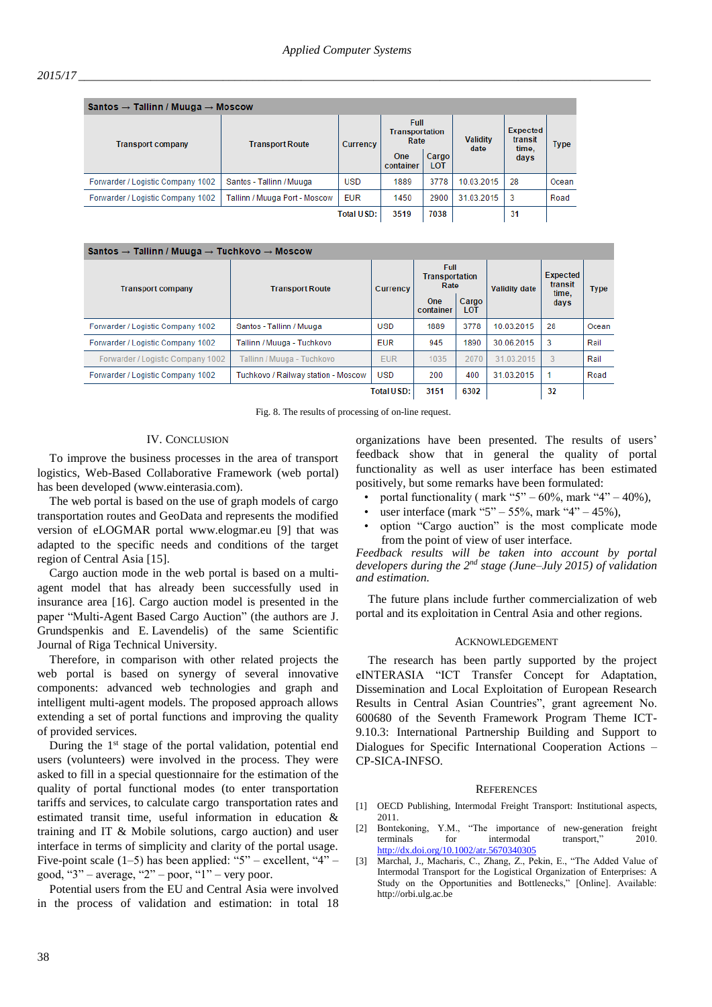| Santos $\rightarrow$ Tallinn / Muuga $\rightarrow$ Moscow |                               |                 |                                       |                           |                         |                     |             |  |
|-----------------------------------------------------------|-------------------------------|-----------------|---------------------------------------|---------------------------|-------------------------|---------------------|-------------|--|
| <b>Transport company</b>                                  | <b>Transport Route</b>        | <b>Currency</b> | Full<br><b>Transportation</b><br>Rate |                           | <b>Validity</b><br>date | Expected<br>transit | <b>Type</b> |  |
|                                                           |                               |                 | One<br>container                      | Cargo <sup>'</sup><br>LOT |                         | time.<br>days       |             |  |
| Forwarder / Logistic Company 1002                         | Santos - Tallinn / Muuga      | <b>USD</b>      | 1889                                  | 3778                      | 10.03.2015              | 28                  | Ocean       |  |
| Forwarder / Logistic Company 1002                         | Tallinn / Muuga Port - Moscow | <b>EUR</b>      | 1450                                  | 2900                      | 31.03.2015              | 3                   | Road        |  |
|                                                           |                               | Total USD:      | 3519                                  | 7038                      |                         | 31                  |             |  |

| Santos $\rightarrow$ Tallinn / Muuga $\rightarrow$ Tuchkovo $\rightarrow$ Moscow |                                     |                   |                                       |              |                      |                              |             |  |
|----------------------------------------------------------------------------------|-------------------------------------|-------------------|---------------------------------------|--------------|----------------------|------------------------------|-------------|--|
| <b>Transport company</b>                                                         | <b>Transport Route</b>              | Currency          | <b>Full</b><br>Transportation<br>Rate |              | <b>Validity date</b> | Expected<br>transit<br>time. | <b>Type</b> |  |
|                                                                                  |                                     |                   | <b>One</b><br>container               | Cargo<br>LOT |                      | days                         |             |  |
| Forwarder / Logistic Company 1002                                                | Santos - Tallinn / Muuga            | USD               | 1889                                  | 3778         | 10.03.2015           | 28                           | Ocean       |  |
| Forwarder / Logistic Company 1002                                                | Tallinn / Muuga - Tuchkovo          | <b>EUR</b>        | 945                                   | 1890         | 30.06.2015           | 3                            | Rail        |  |
| Forwarder / Logistic Company 1002                                                | Tallinn / Muuga - Tuchkovo          | <b>EUR</b>        | 1035                                  | 2070         | 31.03.2015           | 3                            | Rail        |  |
| Forwarder / Logistic Company 1002                                                | Tuchkovo / Railway station - Moscow | <b>USD</b>        | 200                                   | 400          | 31.03.2015           | 1                            | Road        |  |
|                                                                                  |                                     | <b>Total USD:</b> | 3151                                  | 6302         |                      | 32                           |             |  |

Fig. 8. The results of processing of on-line request.

# IV. CONCLUSION

To improve the business processes in the area of transport logistics, Web-Based Collaborative Framework (web portal) has been developed (www.einterasia.com).

The web portal is based on the use of graph models of cargo transportation routes and GeoData and represents the modified version of eLOGMAR portal www.elogmar.eu [9] that was adapted to the specific needs and conditions of the target region of Central Asia [15].

Cargo auction mode in the web portal is based on a multiagent model that has already been successfully used in insurance area [16]. Cargo auction model is presented in the paper "Multi-Agent Based Cargo Auction" (the authors are J. Grundspenkis and E. Lavendelis) of the same Scientific Journal of Riga Technical University.

Therefore, in comparison with other related projects the web portal is based on synergy of several innovative components: advanced web technologies and graph and intelligent multi-agent models. The proposed approach allows extending a set of portal functions and improving the quality of provided services.

During the 1<sup>st</sup> stage of the portal validation, potential end users (volunteers) were involved in the process. They were asked to fill in a special questionnaire for the estimation of the quality of portal functional modes (to enter transportation tariffs and services, to calculate cargo transportation rates and estimated transit time, useful information in education & training and IT & Mobile solutions, cargo auction) and user interface in terms of simplicity and clarity of the portal usage. Five-point scale (1–5) has been applied: "5" – excellent, "4" – good, " $3"$  – average, " $2"$  – poor, " $1"$  – very poor.

Potential users from the EU and Central Asia were involved in the process of validation and estimation: in total 18 organizations have been presented. The results of users' feedback show that in general the quality of portal functionality as well as user interface has been estimated positively, but some remarks have been formulated:

- portal functionality (mark "5"  $60\%$ , mark "4" 40%),
- user interface (mark "5" 55%, mark "4" 45%),
- option "Cargo auction" is the most complicate mode from the point of view of user interface.

*Feedback results will be taken into account by portal developers during the 2nd stage (June–July 2015) of validation and estimation.*

The future plans include further commercialization of web portal and its exploitation in Central Asia and other regions.

## ACKNOWLEDGEMENT

The research has been partly supported by the project eINTERASIA "ICT Transfer Concept for Adaptation, Dissemination and Local Exploitation of European Research Results in Central Asian Countries", grant agreement No. 600680 of the Seventh Framework Program Theme ICT-9.10.3: International Partnership Building and Support to Dialogues for Specific International Cooperation Actions – CP-SICA-INFSO.

## **REFERENCES**

- [1] OECD Publishing, Intermodal Freight Transport: Institutional aspects, 2011.
- [2] Bontekoning, Y.M., "The importance of new-generation freight terminals for intermodal transport," 2010. <http://dx.doi.org/10.1002/atr.5670340305>
- [3] Marchal, J., Macharis, C., Zhang, Z., Pekin, E., "The Added Value of Intermodal Transport for the Logistical Organization of Enterprises: A Study on the Opportunities and Bottlenecks," [Online]. Available: http://orbi.ulg.ac.be